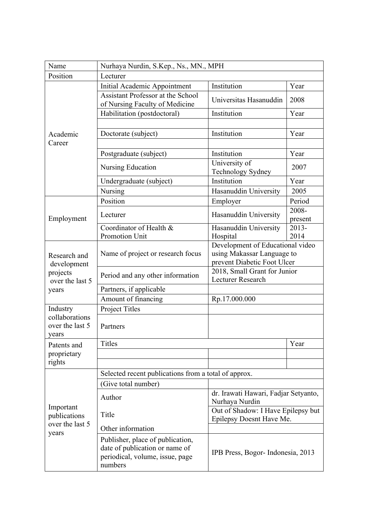| Name                                                                | Nurhaya Nurdin, S.Kep., Ns., MN., MPH                                                                            |                                                                                               |                  |  |
|---------------------------------------------------------------------|------------------------------------------------------------------------------------------------------------------|-----------------------------------------------------------------------------------------------|------------------|--|
| Position                                                            | Lecturer                                                                                                         |                                                                                               |                  |  |
| Academic<br>Career                                                  | Initial Academic Appointment                                                                                     | Institution                                                                                   | Year             |  |
|                                                                     | Assistant Professor at the School<br>of Nursing Faculty of Medicine                                              | Universitas Hasanuddin                                                                        | 2008             |  |
|                                                                     | Habilitation (postdoctoral)                                                                                      | Institution                                                                                   | Year             |  |
|                                                                     |                                                                                                                  |                                                                                               |                  |  |
|                                                                     | Doctorate (subject)                                                                                              | Institution                                                                                   | Year             |  |
|                                                                     |                                                                                                                  |                                                                                               |                  |  |
|                                                                     | Postgraduate (subject)                                                                                           | Institution                                                                                   | Year             |  |
|                                                                     | Nursing Education                                                                                                | University of<br>Technology Sydney                                                            | 2007             |  |
|                                                                     | Undergraduate (subject)                                                                                          | Institution                                                                                   | Year             |  |
|                                                                     | Nursing                                                                                                          | Hasanuddin University                                                                         | 2005             |  |
|                                                                     | Position                                                                                                         | Employer                                                                                      | Period           |  |
| Employment                                                          | Lecturer                                                                                                         | Hasanuddin University                                                                         | 2008-<br>present |  |
|                                                                     | Coordinator of Health &                                                                                          | Hasanuddin University                                                                         | $2013 -$         |  |
|                                                                     | Promotion Unit                                                                                                   | Hospital                                                                                      | 2014             |  |
| Research and<br>development<br>projects<br>over the last 5<br>years | Name of project or research focus                                                                                | Development of Educational video<br>using Makassar Language to<br>prevent Diabetic Foot Ulcer |                  |  |
|                                                                     | Period and any other information                                                                                 | 2018, Small Grant for Junior<br>Lecturer Research                                             |                  |  |
|                                                                     | Partners, if applicable                                                                                          |                                                                                               |                  |  |
|                                                                     | Amount of financing                                                                                              | Rp.17.000.000                                                                                 |                  |  |
| Industry                                                            | <b>Project Titles</b>                                                                                            |                                                                                               |                  |  |
| collaborations<br>over the last 5<br>vears                          | Partners                                                                                                         |                                                                                               |                  |  |
| Patents and                                                         | Titles                                                                                                           |                                                                                               | Year             |  |
| proprietary                                                         |                                                                                                                  |                                                                                               |                  |  |
| rights                                                              |                                                                                                                  |                                                                                               |                  |  |
|                                                                     | Selected recent publications from a total of approx.                                                             |                                                                                               |                  |  |
|                                                                     | (Give total number)                                                                                              |                                                                                               |                  |  |
| Important<br>publications<br>over the last 5<br>years               | Author                                                                                                           | dr. Irawati Hawari, Fadjar Setyanto,<br>Nurhaya Nurdin                                        |                  |  |
|                                                                     | Title                                                                                                            | Out of Shadow: I Have Epilepsy but<br>Epilepsy Doesnt Have Me.                                |                  |  |
|                                                                     | Other information                                                                                                |                                                                                               |                  |  |
|                                                                     | Publisher, place of publication,<br>date of publication or name of<br>periodical, volume, issue, page<br>numbers | IPB Press, Bogor-Indonesia, 2013                                                              |                  |  |